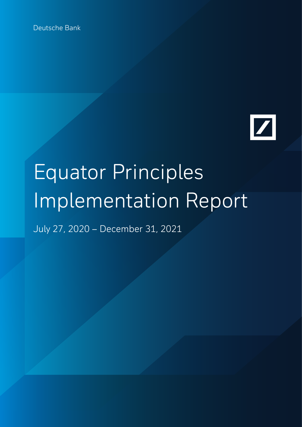Deutsche Bank



# Equator Principles Implementation Report

July 27, 2020 – December 31, 2021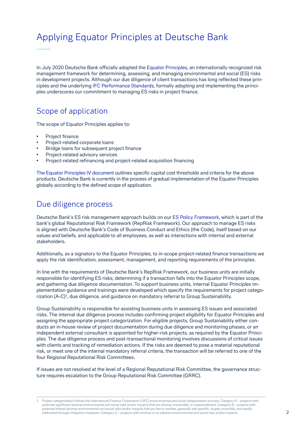# Applying Equator Principles at Deutsche Bank

In July 2020 Deutsche Bank officially adopted the [Equator Principles,](https://equator-principles.com/) an internationally recognized risk management framework for determining, assessing, and managing environmental and social (ES) risks in development projects. Although our due diligence of client transactions has long reflected these principles and the underlying [IFC Performance Standards](https://www.ifc.org/wps/wcm/connect/Topics_Ext_Content/IFC_External_Corporate_Site/Sustainability-At-IFC/Policies-Standards/Performance-Standards), formally adopting and implementing the principles underscores our commitment to managing ES risks in project finance.

#### Scope of application

The scope of Equator Principles applies to:

- Project finance
- Project-related corporate loans
- Bridge loans for subsequent project finance
- Project-related advisory services
- Project-related refinancing and project-related acquisition financing

[The Equator Principles IV document](https://equator-principles.com/app/uploads/The-Equator-Principles_EP4_July2020.pdf) outlines specific capital cost thresholds and criteria for the above products. Deutsche Bank is currently in the process of gradual implementation of the Equator Principles globally according to the defined scope of application.

#### Due diligence process

Deutsche Bank's ES risk management approach builds on our [ES Policy Framework,](https://www.db.com/files/documents/db-es-policy-framework-english.pdf) which is part of the bank's global Reputational Risk Framework (RepRisk Framework). Our approach to manage ES risks is aligned with Deutsche Bank's Code of Business Conduct and Ethics (the Code), itself based on our values and beliefs, and applicable to all employees, as well as interactions with internal and external stakeholders.

Additionally, as a signatory to the Equator Principles, to in-scope project-related finance transactions we apply the risk identification, assessment, management, and reporting requirements of the principles.

In line with the requirements of Deutsche Bank's RepRisk Framework, our business units are initially responsible for identifying ES risks, determining if a transaction falls into the Equator Principles scope, and gathering due diligence documentation. To support business units, internal Equator Principles implementation guidance and trainings were developed which specify the requirements for project categorization (A-C)<sup>1</sup>, due diligence, and guidance on mandatory referral to Group Sustainability.

Group Sustainability is responsible for assisting business units in assessing ES issues and associated risks. The internal due diligence process includes confirming project eligibility for Equator Principles and assigning the appropriate project categorization. For eligible projects, Group Sustainability either conducts an in-house review of project documentation during due diligence and monitoring phases, or an independent external consultant is appointed for higher-risk projects, as required by the Equator Principles. The due diligence process and post-transactional monitoring involves discussions of critical issues with clients and tracking of remediation actions. If the risks are deemed to pose a material reputational risk, or meet one of the internal mandatory referral criteria, the transaction will be referred to one of the four Regional Reputational Risk Committees.

If issues are not resolved at the level of a Regional Reputational Risk Committee, the governance structure requires escalation to the Group Reputational Risk Committee (GRRC).

Project categorisation follows the International Finance Corporation's (IFC) environmental and social categorisation process. Category A – projects with potential significant adverse environmental and social risks and/or impacts that are diverse, irreversible, or unprecedented. Category B – projects with potential limited adverse environmental and social risks and/or impacts that are few in number, generally site-specific, largely reversible, and readily addressed through mitigation measures. Category C – projects with minimal or no adverse environmental and social risks and/or impacts. 1